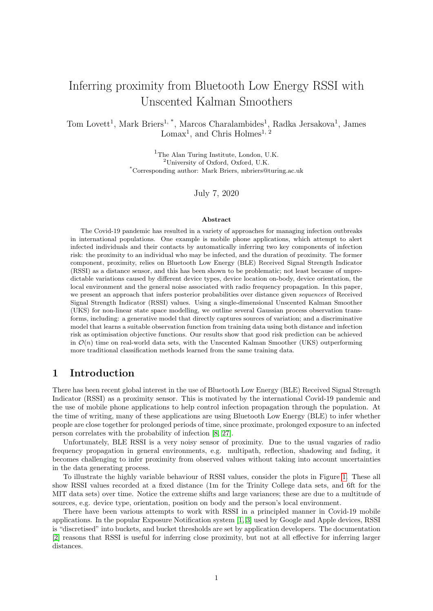# Inferring proximity from Bluetooth Low Energy RSSI with Unscented Kalman Smoothers

Tom Lovett<sup>1</sup>, Mark Briers<sup>1, \*</sup>, Marcos Charalambides<sup>1</sup>, Radka Jersakova<sup>1</sup>, James Lomax<sup>1</sup>, and Chris Holmes<sup>1, 2</sup>

> <sup>1</sup>The Alan Turing Institute, London, U.K. <sup>2</sup>University of Oxford, Oxford, U.K. \*Corresponding author: Mark Briers, mbriers@turing.ac.uk

> > July 7, 2020

#### Abstract

The Covid-19 pandemic has resulted in a variety of approaches for managing infection outbreaks in international populations. One example is mobile phone applications, which attempt to alert infected individuals and their contacts by automatically inferring two key components of infection risk: the proximity to an individual who may be infected, and the duration of proximity. The former component, proximity, relies on Bluetooth Low Energy (BLE) Received Signal Strength Indicator (RSSI) as a distance sensor, and this has been shown to be problematic; not least because of unpredictable variations caused by different device types, device location on-body, device orientation, the local environment and the general noise associated with radio frequency propagation. In this paper, we present an approach that infers posterior probabilities over distance given sequences of Received Signal Strength Indicator (RSSI) values. Using a single-dimensional Unscented Kalman Smoother (UKS) for non-linear state space modelling, we outline several Gaussian process observation transforms, including: a generative model that directly captures sources of variation; and a discriminative model that learns a suitable observation function from training data using both distance and infection risk as optimisation objective functions. Our results show that good risk prediction can be achieved in  $\mathcal{O}(n)$  time on real-world data sets, with the Unscented Kalman Smoother (UKS) outperforming more traditional classification methods learned from the same training data.

# 1 Introduction

There has been recent global interest in the use of Bluetooth Low Energy (BLE) Received Signal Strength Indicator (RSSI) as a proximity sensor. This is motivated by the international Covid-19 pandemic and the use of mobile phone applications to help control infection propagation through the population. At the time of writing, many of these applications are using Bluetooth Low Energy (BLE) to infer whether people are close together for prolonged periods of time, since proximate, prolonged exposure to an infected person correlates with the probability of infection [\[8,](#page-15-0) [27\]](#page-16-0).

Unfortunately, BLE RSSI is a very noisy sensor of proximity. Due to the usual vagaries of radio frequency propagation in general environments, e.g. multipath, reflection, shadowing and fading, it becomes challenging to infer proximity from observed values without taking into account uncertainties in the data generating process.

To illustrate the highly variable behaviour of RSSI values, consider the plots in Figure [1.](#page-1-0) These all show RSSI values recorded at a fixed distance (1m for the Trinity College data sets, and 6ft for the MIT data sets) over time. Notice the extreme shifts and large variances; these are due to a multitude of sources, e.g. device type, orientation, position on body and the person's local environment.

There have been various attempts to work with RSSI in a principled manner in Covid-19 mobile applications. In the popular Exposure Notification system [\[1,](#page-14-0) [3\]](#page-15-1) used by Google and Apple devices, RSSI is "discretised" into buckets, and bucket thresholds are set by application developers. The documentation [\[2\]](#page-15-2) reasons that RSSI is useful for inferring close proximity, but not at all effective for inferring larger distances.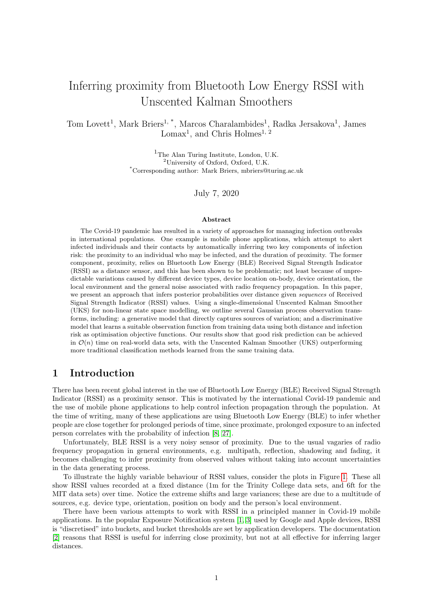<span id="page-1-0"></span>

Figure 1: Samples of RSSI data over time from two sources. The Trinity College data here are all recorded at a proximity of 1m, and the MIT data at 6ft. All plots across both sources share the same  $y$ -axes  $[ 100; 50].$ 

In this paper, we present a probabilistic model for inferring proximity using BLE RSSI observations. This model uses a Unscented Kalman Smoother (UKS) [\[11,](#page-15-5) [12\]](#page-15-6), which takes advantage of sequential RSSI data, and models multiple sources of uncertainty in the data distribution variance. For the data distribution, we use a Gaussian process that maps distance to observations, and present two general forms: a generative model, which directly models the sources of shifts and variance in the observations; and a discriminative model, which learns a suitable observation model from training data. Setting this paper's contribution in context, the estimation of a distribution over proximity is just one technical problem that needs to be addressed; the reader is also referred to [\[22\]](#page-16-1) for a broader discussion around the ethical considerations around contact tracing app development.

# 2 Related work

Since the Covid-19 outbreak, there has been a surge of interest in proximity inference using BLE RSSI data. Since risk of infection is a function of, iter alia, proximity between individuals and the duration of contact [\[8,](#page-15-0) [4\]](#page-15-7), automatically inferring these two properties for any contact "event" is crucial.

Perhaps the most notable work exploring the effects of BLE RSSI in real-world environments, and its potential as a sensor of proximity, are the series of papers by Trinity College Dublin. For example, in [\[16\]](#page-15-3), the authors demonstrate the extreme shifts and variation in RSSI over a variety of contexts, including on public transport, in supermarkets, walking in public streets and sitting at desks. There are also scenarios demonstrating the shifts in RSSI from simply putting a mobile device in a pocket or a bag. The data in Figure [1](#page-1-0) are taken from this paper.

In [\[17\]](#page-15-8), the authors show that in this public transport environment with 60 device pairs, the Exposure Notification system with particular parameter settings did not detect genuine contact events, though minor improvements were made through parameter variation. Further evidence of the difficulties of using RSSI is illustrated in [\[18\]](#page-15-9), with the best performing parameter settings achieving the equivalent of random selection.

Other recent studies into Bluetooth for proximity detection include: [\[19\]](#page-15-10), where further tests of Bluetooth in indoor and outdoor environments, as well as device concealment variations, show the volatility of RSSI and the ambiguity at larger distances; and [\[21\]](#page-16-2), where BLE is used for proximity detection in the workplace, albeit with exposed bracelets and additional environment sensors, and good binary classification of contact events is achieved through varying scan windows at a cost of power consumption (the drop in performance for low-power, lower frequency methods even in a "good coverage" environment is noted).

Methods that make use of RSSI sequences include [\[25\]](#page-16-3), which uses particle filtering on Bluetooth RSSI to infer proximity in idealised environments. The findings are unlikely to translate to everyday mobile phone use however, since they were obtained from sensor networks with different Bluetooth hardware, where the setup was designed specifically for object tracking. Other methods have used Kalman filters, which assume linear transforms for state transition and observation. In [\[28\]](#page-16-4), a Kalman filter was applied to the indoor location estimation problem but, again, the hardware and experiment setup used (highpower class 1 Bluetooth sensor networks set up for tracking) do not translate to real-world mobile device use. Similar studies used augmented sensors, e.g. an inertial sensor [\[30\]](#page-16-5), in environments designed for tracking, e.g. [\[31\]](#page-16-6) and some have considered particle filters with Gaussian processes for sequential modelling [\[10\]](#page-15-11).

In direct response to the Covid-19 crisis, other approaches to proximity detection with realistic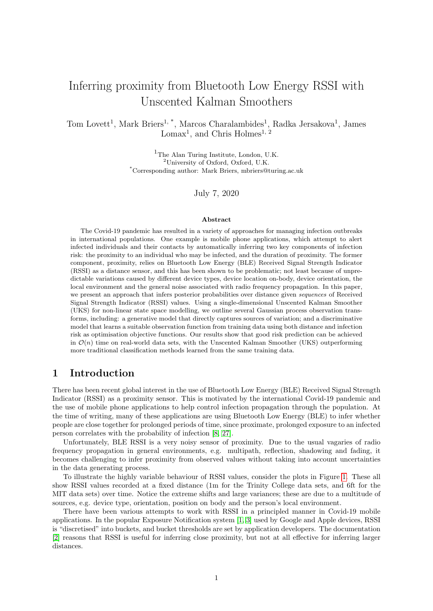context and BLE hardware have been studied. These include Gorce, Egan and Gribonval [\[9\]](#page-15-12), who use calibrated BLE RSSI, where shifts due to device type, position and environment are considered, as well as probabilistic modelling of fading and shadowing. The authors then use Bayesian inference to compute a posterior distribution over distance given (averaged, calibrated) RSSI observations. This posterior uses a constrained uniform prior with Gaussian data distribution over the RSSI observations. Different estimators are derived from this posterior, such as the maximum a posteriori and maximum likelihood distance. These are then used in various risk scoring approaches, and experiments show reasonable risk inference using this method. This work is similar to ours in its Bayesian approach, though it does not take sequences into account. Moreover, we model shifts as random variables in the data distribution rather than through correction and averaging.

# 3 Posterior proximity inference

Given a sequence of observed RSSI random variables  $R_1$ : ::: ;  $R_{\tau^0}$ , we wish to compute the probability distribution over device proximity, or distance, at each observation, i.e.  $D_1$ ; :::;  $D_{\tau}$ . Since RSSI data are likely to be aperiodic, bursty and unreliable, we might wish to treat  $D_1$ ; :::;  $D_{\mathcal{T}^0}$  as a subsequence of a larger, periodic sequence  $D_1$ ; :::;  $D_T$ , where  $T^{\theta}$  T and also infer the proximity at points where observations are not present (see Section [3.1.1\)](#page-3-0).

Since (negative) RSSI appears to have a longer tail to  $1$  in empirical data, e.g. Figure [1](#page-1-0) and the plots in [\[9\]](#page-15-12), and that BLE typically has transmission power  $0dBm$ , we model  $R$  as a log-normal random variable. This is in contrast to popular radio propagation models such as the log-distance path model, which assumes the variability in  $R$  follows a Gaussian distribution. For completeness, we have replicated all results in this paper under the assumption of  $R$  being a Gaussian random variable (see Appendix [C\)](#page-17-0), and the log-normal model appears to be more resilient to fluctuations in RSSI, as discussed in Section [8.](#page-12-0)

Under this log-normal model, we are interested in modelling the data distribution of the Gaussian random variable  $X = \log(-R)$  2 R conditioned on a distance (or proximity) variable  $D 2 (0, 1)$ , where R 2 ( $1; 0$  $1; 0$ ) is RSSI in dBm at distance  $\mathcal{d}^1$ . We assume this conditional distribution is characterised by a collection of D-dependent parameters  $\Theta(D)$ ,

$$
F_{X/D}(X/D;\Theta(D))\,;
$$

and, given this data distribution for  $X_j D$  along with the sequence of observations  $X_1$ ; :::;  $X_{T^0}$ , our goal is to infer the posterior distribution over  $D_t$  at each time index  $t \, 2 \, f_1; \ldots; Tg$ 

$$
F_{D_t/X_1;\dots;X_{T^0}}(D_t\,)\,X_1;\dots;X_{T^0}\,;\Theta(D_t))\,.
$$

We further assume that this distribution (and the data distribution) admits a density with respect to Lebesgue measure, and we compute

$$
\rho_{D_t|X_1;\dots;X_{T^0}}(D_t|X_1;\dots;X_{T^0};\Theta(D_t))\diagup\rho_{X_1;\dots;X_{T^0}|D_t}(X_1;\dots;X_{T^0}|D_t;\Theta(D_t))\,\rho_{D_t}\,(D_t):
$$

This is a classic problem in dynamical systems' theory, and is well suited to methods such as Kalman filtering, smoothing and other derivatives. The choice of method depends on the form of the data distribution, and performance depends heavily on the quality of the data distribution, i.e. how closely it matches nature's "true" distribution.

#### 3.1 Unscented Kalman filtering and smoothing

The Kalman filter and smoother are classic methods for performing posterior inference over latent variables  $\mathbf{x}_1$ ; :::;  $\mathbf{x}_T \geq R^m$  given discrete sequences of observed vectors in  $\mathbf{z}_1$ ; :::;  $\mathbf{z}_T \geq R^n$ . The traditional Kalman smoother assumes that the latent sequence has the Markov property, all transforms are linear and that all stochastic sources are Gaussian. The state transition model, assuming no control inputs, is

$$
\mathbf{x}_{t+1} = \mathbf{A}_{t+1}\mathbf{x}_t + \mathbf{w}_{t+1}.\tag{1}
$$

where  $\mathbf{w}_t$   $\mathcal{N}(\mathbf{0}, \mathbf{Q}_t)$ . The observation model is

$$
\mathbf{z}_t = \mathbf{B}_t \mathbf{x}_t + \mathbf{v}_t \tag{2}
$$

<span id="page-2-0"></span><sup>&</sup>lt;sup>1</sup>We assume BLE transmission power is always  $<$  0dBm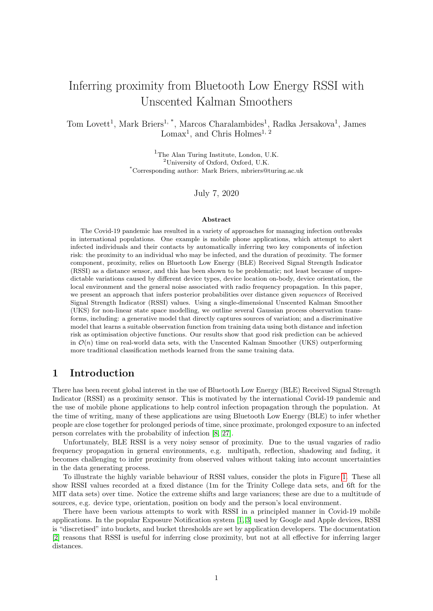where  $\mathbf{v}_t$   $\mathcal{N}(\mathbf{0}; \mathbf{R}_t)$ .

Unfortunately, in our application of inferring proximity from BLE RSSI, the observation model is non-linear and the latent variables D only have non-negative support. We can work around the latter problem by assuming  $D_t$  2 R and transforming  $D_t$  to its absolute value, i.e.  $|D_t|$  – this implicitly assumes that the transition distribution is folded normal, rather than normal. The nonlinearity of the observation model leads us to use an extension to the traditional Kalman smoother: the Unscented Kalman Smoother (UKS) [\[11,](#page-15-5) [29,](#page-16-7) [5\]](#page-15-13). The UKS uses deterministic inspired sampling to allow nonlinear transforms in the model. Our transition model for the UKS is

$$
D_{t+1} = jD_t + w_{t+1}j;
$$
\n(3)

where  $W_t$   $\mathcal{N}(0, \mathbf{q}_t)$ . This model is equivalent to assuming that the two devices are each performing an independent Gaussian random walk, and that the relative proximity transition follows a folded normal distribution. The key parameter in this model is  $q$ , the variance of the change in proximity between time steps. The observation model is

$$
X_t = (D_t) + v_t \tag{4}
$$

where  $V_t$   $\mathcal{N}(0; r_t)$ . In other words,  $X_t$   $\mathcal{N}((D_t); r_t)$ .

#### <span id="page-3-0"></span>3.1.1 Posterior imputation

One of the key advantages of the UKS, and dynamical systems in general, is the ability to infer the posterior distribution over  $D_t$ , even when an observation  $X_t$  does not exist. This is well suited to RSSI data, which are bursty, aperiodic and unreliable. This illustrates another benefit of posterior inference over sequences of observations, rather than single observations independently. Other approaches use averaging to smooth observations and inferred values over time windows, e.g. [\[9\]](#page-15-12), but the sequential nature of the UKS allows for more principled imputation, where observations either side of a "gap" induce a more realistic trend in the inferred values.

#### 3.2 Choosing a suitable data distribution

Assuming the data distribution

$$
F_{X/D}(X/D;\Theta(D))
$$

is Gaussian, i.e.

<span id="page-3-1"></span>
$$
Xj D \quad N \left( \begin{array}{c} (D; \quad) \, r(D; \, r) \end{array} \right) \tag{5}
$$

with  $f : r \in \mathcal{Q} \Theta(D)$  then, for distances d,

 $(X_d): d 2 (0:1):$ 

is a Gaussian process and, for any given  $d$ , the Gaussian for  $X_d$  depends entirely on the hyperparameters Θ(D). Thus, we can encode knowledge of the distribution of X at certain distances in our choices for the hyperparameters. If we have access to appropriate training data, we can use these data to learn  $\Theta(D)$  for RSSI behaviour in general environments. There are two main approaches for doing this: a discriminative approach, which learns representative parameters from training data; and a generative approach, which models directly the sources of RSSI variability. We consider both approaches and assess their performance in subsequent sections.

### 4 Data distribution form

In this section, we outline a model for the Gaussian data distribution

$$
F_{XjD}(XjD;\Theta(D)):
$$

Unfortunately, the vagaries of radio frequency propagation within different environments make physical modelling of this distribution very difficult.

Empirical data, e.g. [\[6,](#page-15-14) [9,](#page-15-12) [15,](#page-15-4) [16\]](#page-15-3) suggest that the distribution of R in a "clean" environment, e.g. an anechoic chamber, has a unimodal, asymmetric form, with a long tail towards  $1$ . We assume that the distribution of  $X$  is unimodal and symmetric about the mode, and a member of the location-scale family of distributions.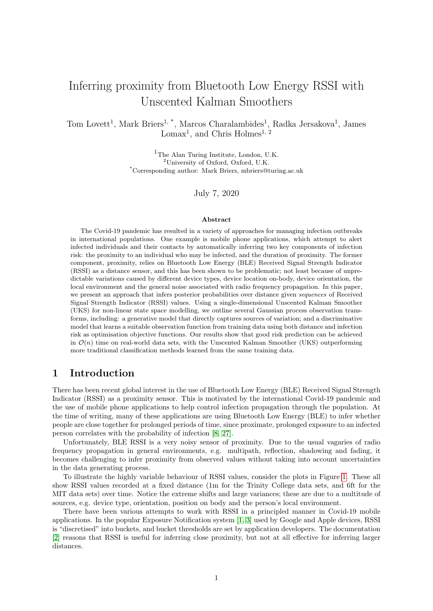For a given distance  $D = d$ , we assume the existence of a fixed function  $f : (0, 7)$  ! R, which captures the physics of radio propagation in free space as a function of distance. We use a simple RSSI propagation model, which approximates line-of-sight received power in free space using the Friis transmission equation,

$$
P_r = P_t G_t G_r \frac{2}{4 d}
$$

where  $P_r$  is received power (in W);  $P_t$  is transmitted power;  $G_t$  and  $G_r$  are transmitter and receiver gains respectively;  $d$  is distance between transmitter and receiver (in m); and is wavelength (in m). We use the decibel conversion

<span id="page-4-2"></span>
$$
g(d) = 20\log_{10} \frac{1}{4 \ d} \tag{6}
$$

where  $= 0.125$  $= 0.125$  $= 0.125$  is Bluetooth wavelength in metres<sup>2</sup>. We assume the transmitted power to be 0dBm, and that antenna gains for the transmitter and receiver are captured in the shift variables below. The base function  $f(d)$  is then

<span id="page-4-5"></span>
$$
f(g(d)) = \log(-g)
$$
\n<sup>(7)</sup>

In our model, this function can be shifted by a finite number  $N<sub>s</sub>$  of independent random variables  $Y_i$  j  $d$  – which may represent, e.g. antenna orientations, device model differences and changes in the physical environment – plus some zero-mean unattributable, independent, distance-invariant noise Z. With these forms and assumptions, we have, given  $D = d$ 

<span id="page-4-3"></span>
$$
X j d = f(d) + \bigvee_{i=1}^{\mathcal{X}^s} Y_i j d + Z_i
$$

and,

$$
\mathbb{E}\left[X \mid D=d\right] = f(d) + \sum_{\substack{i=1 \ y \neq s}}^{\mathcal{H}_s} \mathbb{E}\left[Y_i \mid d\right] + \mathbb{E}\left[Z\right];
$$
\n
$$
= f(d) + \sum_{\substack{i=1 \ y \neq s}}^{\mathcal{H}_s} \mathcal{Y}_i F_{Y_i \mid d}\left(\mathrm{d}y_i\right);
$$
\n(8)

with

$$
\text{Var}\left(X \, j \, D = d\right) = \int_{i=1}^{\mathcal{H}_s} \text{Var}\left(Y_i \, j \, d\right) + \text{Var}\left(Z\right); \\
= \int_{i=1}^{\mathcal{H}_s} \frac{Z}{\mathcal{R}} \left(y_i - \mathbb{E}\left[Y_i \, j \, d\right]\right)^2 F_{Y_i \, j \, d}\left(\mathrm{d}y_i\right) + \int_{\mathbb{R}}^{\mathcal{H}_s} z^2 F_Z\left(\mathrm{d}z\right): \\
= \left(9\right)^{\mathcal{H}_s} \left(1 + \frac{1}{\mathcal{R}}\right)^{\mathcal{H}_s} \left(1 + \frac{1}{\mathcal{R}}\right)^{\mathcal{H}_s} \left(1 + \frac{1}{\mathcal{R}}\right)^{\mathcal{H}_s} \left(1 + \frac{1}{\mathcal{R}}\right)^{\mathcal{H}_s} \left(1 + \frac{1}{\mathcal{R}}\right)^{\mathcal{H}_s} \left(1 + \frac{1}{\mathcal{R}}\right)^{\mathcal{H}_s} \left(1 + \frac{1}{\mathcal{R}}\right)^{\mathcal{H}_s} \left(1 + \frac{1}{\mathcal{R}}\right)^{\mathcal{H}_s} \left(1 + \frac{1}{\mathcal{R}}\right)^{\mathcal{H}_s} \left(1 + \frac{1}{\mathcal{R}}\right)^{\mathcal{H}_s} \left(1 + \frac{1}{\mathcal{R}}\right)^{\mathcal{H}_s} \left(1 + \frac{1}{\mathcal{R}}\right)^{\mathcal{H}_s} \left(1 + \frac{1}{\mathcal{R}}\right)^{\mathcal{H}_s} \left(1 + \frac{1}{\mathcal{R}}\right)^{\mathcal{H}_s} \left(1 + \frac{1}{\mathcal{R}}\right)^{\mathcal{H}_s} \left(1 + \frac{1}{\mathcal{R}}\right)^{\mathcal{H}_s} \left(1 + \frac{1}{\mathcal{R}}\right)^{\mathcal{H}_s} \left(1 + \frac{1}{\mathcal{R}}\right)^{\mathcal{H}_s} \left(1 + \frac{1}{\mathcal{R}}\right)^{\mathcal{H}_s} \left(1 + \frac{1}{\mathcal{R}}\right)^{\mathcal{H}_s} \left(1 + \frac{1}{\mathcal{R}}\right)^{\mathcal{H}_s} \
$$

# 5 Generative model

In this section, we outline a generative model for certain shift variables  $Y_i$  and noise variable  $Z$ , each of which we assume to have Gaussian mixture form with  $K_i$  components at distance  $d$ ,

<span id="page-4-4"></span><span id="page-4-1"></span>
$$
Y_i j d \underset{k=1}{\overset{\bigtimes}{\times}} k N \underset{k=1}{\times} \frac{2}{k} ; \tag{10}
$$

and – in general – unknown  $\alpha$ -specific  $\kappa$ ;  $\kappa$  and  $\frac{2}{\kappa}$ . For each variable  $Y_i$ , we assume we have access to some empirical observation data for each component k:  $D_k$  (which could be empty, i.e.  $D_k = ?$ ). We place a conjugate normal-inverse-gamma prior over each Gaussian component's parameters  $k = k^2$  to obtain the posterior distribution,

$$
\kappa^2 \frac{2}{k} \int D\kappa^2 \kappa \quad \text{NIG} \left( m_{k^2} \kappa^2 \kappa^2 \kappa^2 \kappa \right)
$$

<span id="page-4-0"></span><sup>2</sup>This is for the 2402MHz advertising channel. Future work may wish to also consider the 2426MHz and 2480MHz channels, which equate to 0:123m and 0:121m wavelengths respectively.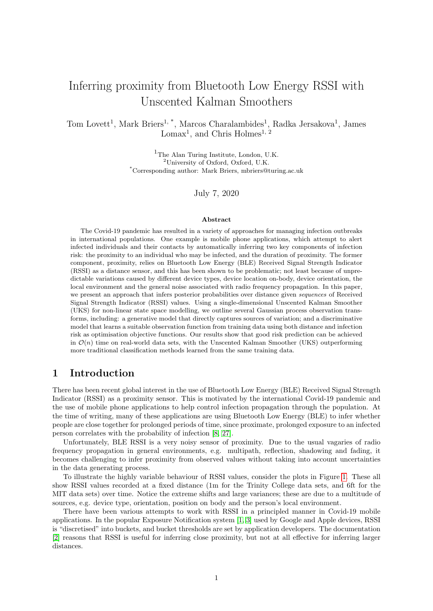and a conjugate Dirichlet prior over the mixture components, to obtain the posterior

<span id="page-5-4"></span> $k / D_k$ ; k Dirichlet( );

and marginalise over the unknown parameters in Equation [10](#page-4-1) to obtain the posterior predictive distribution  $\overline{z}$ 

<span id="page-5-0"></span>
$$
p_{Y_{i},j}(\gamma_{i},j_{1},\ldots,j_{K_{i}};\Theta_{i})=\sum_{\pi_{k}=1}^{L}\kappa p_{Y_{i},j}(\gamma_{i},j_{k};\kappa)\mathrm{d} \quad ; \tag{11}
$$

where each component has the form

$$
p_{Y_{i},j}(\gamma_{i} \mid D_{k}; \ k) = \int_{1}^{2} \int_{0}^{2} p(Y_{i} \mid m; s) p(m; s) D_{k}; \ k) \text{d} s \text{d} m;
$$
  

$$
= t_{2} \int_{k}^{2} Y_{i} \mid m_{k}; \ \frac{(1 + k) \left(k + \frac{1}{2}\right)^{\frac{1}{2}}}{k} ; \tag{12}
$$

i.e. each component is  $t \left( j \right)$ : a non-standard Student's t-distribution with degrees of freedom. Thus our concrete distribution for  $Y_i$  *j d* is an average mixture of Student's t-distributions. Using standard results from conjugacy and  $f y_1$  ::::  $y_{N_k}$   $g \supseteq D_k$ , with  $\bar{y} := N_k^{-1}$ ,  $y_i$ ,

$$
m_{k} = \frac{0}{0} + \frac{1}{N_{k}};
$$
  
\n
$$
k = 0 + N_{k};
$$
  
\n
$$
k = 0 + \frac{N_{k}}{2};
$$
  
\n
$$
k = 0 + \frac{1}{2} \times (y_{i} - \bar{y})^{2} + \frac{N_{k}}{0} \times (y - \bar{y})^{2};
$$
  
\n(13)

and, for the mixture components, given any multinomial observations of component frequencies  $x_1$ ;  $\cdots$ ;  $x_N$ with  $x_{i:1}$  2  $D_1$ ; :::;  $x_{i:K}$  2  $D_K$ 

<span id="page-5-5"></span><span id="page-5-1"></span>
$$
= 0 + \sum_{i=1}^{\Re \alpha} \mathbf{x}_i
$$
 (14)

### 5.1 Computing  $Var(Z)$

For the unattributable noise  $Z$ , we assume zero-mean Gaussian with unknown variance  $\frac{2}{Z}$ . With zeromean and a single Gaussian component, the derivation of the previous section shows that

$$
p_Z(Zj z) = t_2 (Zj0; \stackrel{\circ}{\phantom{0}}) = -1;
$$

so that

<span id="page-5-2"></span>
$$
Var(Zj \t z) = \frac{\t \t(15)}{1}
$$

and we require  $>1$ .

#### 5.2 Y variables

We focus on three classes of  $Y$ : device type shifts caused by differences in mobile device hardware; shifts caused by antenna gain variations; and context shifts caused by device usage, e.g. position, location and environment.

**Device type:** different device types affect shifts and variance of  $X$  [\[9\]](#page-15-12), so this is one example of a shift variable Y . It also appears that this shift is different for different sender/receiver pairs. Given N device types, i.e. specific makes and models, we have  $K = N^2$  sender-receiver pairs. Following Equation [11,](#page-5-0) our distribution for  $Y_i$  *j d* is

<span id="page-5-3"></span>
$$
p_{Yjd}(Yj D_1; \dots; D_K; \Theta) = \frac{Z \times p_{Yjd}(Yj D_k; k) d}{\pi_{k=1}} \quad (16)
$$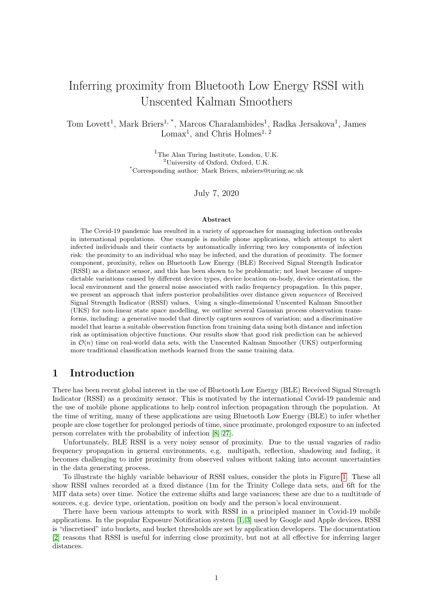Given choices for prior hyperparameters  $k$ , we can collect data on sender/receiver device shifts by measuring them empirically, e.g. in an anechoic chamber, and updating the posterior hyperparameters. We can also use mobile device market share data or survey data to update the Dirichlet parameter in Equation [14.](#page-5-1)

Antenna gain: the Friis transmission equation in Equation [6](#page-4-2) usually includes terms for losses in received power due to directivity of the transmitter and receiver. We encode these losses in a random shift variable  $Y$ , with a single component. Thus Equation [11](#page-5-0) becomes

$$
p_{Yjd}(YjD; ) = t_2 \quad Yjm; \frac{(1 + )^{-\frac{1}{2}}}{(1 + )^{-\frac{1}{2}}};
$$

and empirical data on directivity shifts can be use to update the posterior parameters.

**Device position, location and environment**: other sources of variability for  $X$  include device (antenna) position, e.g. orientation; device location, e.g. in pocket; and environment, e.g. indoors. Since these are typically not independent, the shift Y depends on the joint distribution of the variables  $P$  (position),  $L$  (location) and  $E$  (environment). If we assume the position, location and orientation variables take values in finite sets, then our mixture model will have  $K = N_P N_L N_F$ components and we have the form of the posterior predictive mixture of Student's t-distributions in Equation [11.](#page-5-0) Again, we can use empirical data for each component  $D<sub>k</sub>$  to update the posterior hyperparameters.

# 6 Discriminative model

The purpose of a discriminative model is to learn suitable parameters  $\Theta(D)$  from training data. This learning process is an optimisation problem, and we wish to find suitable parameters that maximise a particular objective function.

#### 6.1 Model form and parameters

There are a range of parametric forms that we could use for the discriminative model of the data distribution in Equation [5.](#page-3-1) We consider two here: the first is a scaled and shifted base function  $f(d)$ with  $d$ -invariant scale and shift parameters  $\frac{1}{1}$  and  $\frac{1}{2}$  respectively, i.e.

<span id="page-6-0"></span>
$$
(\mathbf{d}, \quad) = \quad {}_{1} \mathbf{f}(\mathbf{d}) + \quad {}_{2} \tag{17}
$$

and the second disregards the base function  $f$  and assumes a logarithmic form with  $d$ -invariant scale and intercept, i.e.

<span id="page-6-1"></span>
$$
(\mathbf{d}; \quad) = \quad \text{log}(\mathbf{d}) + \quad \text{2} \tag{18}
$$

For both forms, we also have the observation variance  $r<sub>r</sub>$  and transition variance q for the UKS. The parameters for optimisation are therefore  $\Theta(D) = f_{1}$ ,  $\sigma_1$ ,  $\sigma_2$ ,  $\sigma_1$ ,  $qg$ .

### 6.2 Proximity optimisation

The first objective function is to minimise the expected average mean-squared error between true distances  $D_1$ ::::;  $D_T$  and the expected value of the posterior distribution returned by the UKS inference process. That is, given N training data sets  $D_1$ ; ::;  $D_N$ , where – to account for missing observations –  $D_n$  contains a periodic sequence of true distances  $(d_1, \ldots, d_{T_n})$  and a generally aperiodic, subsequence of observations  $(X_1:...; X_{T_n^{\rho}})$  with  $T_n^{\rho}$   $T_n$ . We wish to find

<span id="page-6-2"></span>
$$
\hat{\Theta} = \operatorname{argmin} \mathbb{E}_D \left[ \frac{1}{T_n} \sum_{t=1}^{\bar{X}_n} d_t \quad \mathbb{E} \left[ D_t j x_1; \dots; x_{T_n} \right] \Theta \right]^{\#}.
$$
\n(19)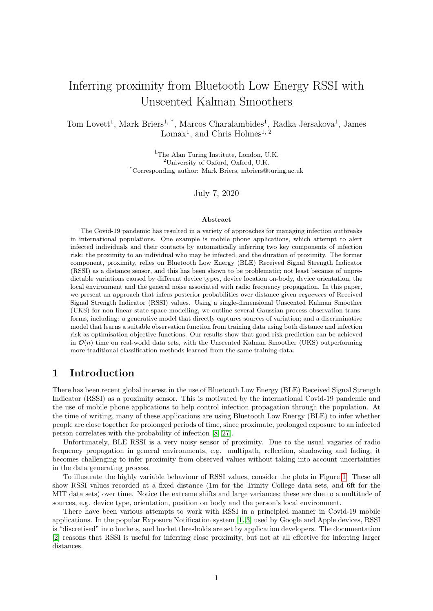<span id="page-7-1"></span>

Figure 2: Gaussian process data distributions for the various models. The exception is (b), which shows the gradient boosted regressor prediction of distance from RSSI (note: the axes are reversed to align with the other plots, so d is a function of  $X$  here). The confidence intervals mark the 0.05 and 0.95 quantiles of the Gaussian distributions. The generative model shows X computed with  $E[X \mid D]$  and Var  $(X \mid D)$ at a finite set of d values. Interpolation is provided by standard Bayesian ridge regression on  $\log(d)$ . For the discriminative models, "prox." means proximity optimised using Equation [19](#page-6-2) and "risk" means risk optimised using Equation [21.](#page-7-0)

#### 6.3 Risk error optimisation

The second objective function is to minimise the risk error. We use the risk score from [\[4\]](#page-15-7) for one time step under the assumption of maximum infectiousness and minimum time decay as

<span id="page-7-2"></span>
$$
(\mathbf{d}_t) = \frac{\Delta t}{60} \min \quad 1, \frac{1}{\mathbf{d}_t^2} \tag{20}
$$

where  $\Delta t$  is the time step (in seconds) between periodic true distances, and search for parameters that minimise the expected average mean-squared risk error,  $\overline{\mu}$ 

<span id="page-7-0"></span>
$$
\hat{\Theta} = \operatorname{argmin} \mathbb{E}_D \frac{1}{T_n} \sum_{t=1}^{\bar{X}_n} (d_t) \qquad \mathbb{E} \ D_t j x_1; \dots; x_{T_n} j \Theta \stackrel{\text{a}}{=} \tag{21}
$$

### 6.4 Optimisation approach

Unfortunately, the complexity of the UKS means that evaluating any objective function involves running a full smoothing process over each training data set  $D_n$ . For the  $n<sup>th</sup>$  training set, this is  $O(T_n)$  (since we have single dimensional latent and observation spaces) and so, for N training sets, a single evaluation of an objective function is  $O(NT_{\text{max}})$ , where  $T_{\text{max}}$  is max<sub>n</sub>  $T_n$ .

Because of this, we use Bayesian optimisation [\[26\]](#page-16-8). Bayesian optimisation uses a Gaussian process as a surrogate function to optimise low-dimensional objective functions with high evaluation cost. Since we have at most 4 model parameters to optimise, our problem is well-suited to the Bayesian optimisation approach. The experimental setup and results for the discriminative models are detailed in Section [7.5.](#page-11-0)

# 7 Model configurations and performance results

In this section, we apply both model types to various data sets. We first outline the configuration for each type and the data sets involved in parameter learning, before detailing the test data sets and presenting performance results on each for all models.

#### 7.1 Gradient boosted regressor

As a benchmark for comparison, we trained a gradient boosted regressor on the MIT Matrix data set [\[7\]](#page-15-15). These are RSSI data captured in a variety of contexts at 8 different distances: 3; 4; 5; 6; 8; 10; 12 and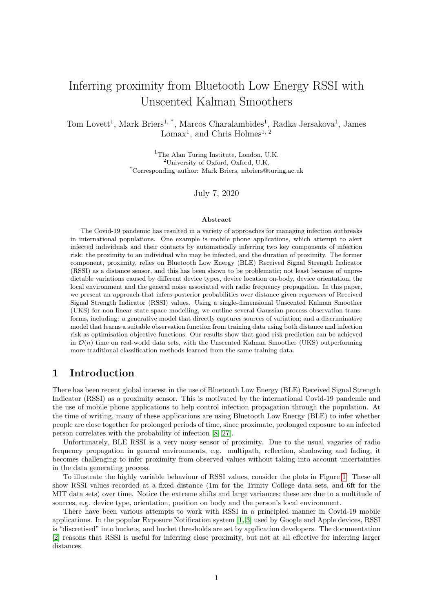15ft. There are 107 files consisting of 118 individual pairwise interactions.

For training, we merged all RSSI points into one set, and used 3-fold cross validation with a test proportion of 0:33. For the gradient boosting, we used LightGBM [\[13\]](#page-15-16) with Root Mean-Squared Error (RMSE) loss function on distance, 31 leaves and 100 iterations. The learned prediction function is shown in Figure [2](#page-7-1) (b).

### 7.2 Discriminative model configuration

For discriminative model training data, we again used MIT's matrix data set [\[7\]](#page-15-15). We use 3-fold, stratified cross-validation on the data sets to choose the optimisation parameters for each model. The stratification is set so that at least one data set from each recorded proximity appears in both the training and validation sets. For each data set, we resample to  $\Delta t = 1$ s (we take the mean for multiple observations in a single time step).

For these results, we use 100 rounds of Bayesian optimisation over the full UKS from 10 initialisation points using a Matérn kernel for the Gaussian process with  $= 5-2$  and a small perturbation on the observed points  $(1 \t 10^{-6})$ . For the model in Equation [17,](#page-6-0) we used the following search ranges:  $1/2$  [0.8; 1.2];  $2$  [0.5; 5];  $r \geq [0.3; 1.5]$  and  $q \geq [0.01; 0.05]$ . For the model in Equation [18,](#page-6-1) we used:  $1/2$  [.01; 1];  $2/2$  [3.5; 4.5];  $r \geq [0.2; 1.5]$  and  $q \geq [0.01; 0.05]$  For the optimisation process, we used the library in [\[23\]](#page-16-9).

For the proximity optimisation objective function in Equation [19,](#page-6-2) we treat each data set with equal weight, so the expectation becomes the simple mean. For the risk optimisation function in Equation [21,](#page-7-0) we weight each dataset according to true risk, i.e. defining

$$
W_n = \begin{cases} \n\chi_n & (d_t) \\ \n\chi_{n+1} & (d_t) \n\end{cases}
$$

where is defined in Equation [20,](#page-7-2) we take the expectation in Equation [21](#page-7-0) over  $D$ , with

$$
p(D_n) \times w_n
$$

#### 7.3 Generative model configuration

For the generative model, we compute  $E[X \mid D]$  and Var  $(X \mid D)$  at a finite set of distances  $fd_1$ ; :::;  $d_K q$  2  $(0, 7)$ . We fit posterior parameters  $\Theta(\boldsymbol{d})$  where possible but, in the absence of empirical data, we use prior hyperparameters chosen to give appropriate uncertainty about the underlying generative processes.

### 7.3.1 Environment noise Z

For Z, we place a broad inverse-gamma prior over  $\frac{2}{z}$ , with = 2 and = 1=10. This reflects our uncertainty about RSSI in any arbitrary environment. The marginal variance of  $Z$  over all values for  $\frac{2}{Z}$ (Equation [15\)](#page-5-2) gives Var  $(Z / Z) = 1=10$ .

#### 7.3.2 Device type shifts

We use the model in Equation [16,](#page-5-3) with set with counts of observations of UK mobile device market share data from 2019 [\[24\]](#page-16-10), i.e. from the survey of  $N = 2/123$  respondents,

$$
k = N(N-1)p_r p_t;
$$

where  $p_r$  is the proportion of the N respondents with device type r, and  $p_t$  the equivalent for type t, with  $K = r^2 = t^2$ . This hyperparameter controls our belief in the specific device types in a randomly selected pair for the UK.

GSMA have provided us with calibration offset data in dBm for 27 device makes and models. These are single observations of shifts at  $d = 1$ m for certain transmitter/receiver device pairs in an anechoic chamber. We therefore do not have empirical data sets for our posterior predictive model in Equation [16,](#page-5-3) so we assume these figures set the  $_0$  hyperparameter for pair k, and that they were recorded with some uncertainty (encoded in the choices for  $\sigma$ ;  $\sigma$ ;  $\sigma$ ). Since the figures are reported in dBm, we convert these to  $X$  space as follows.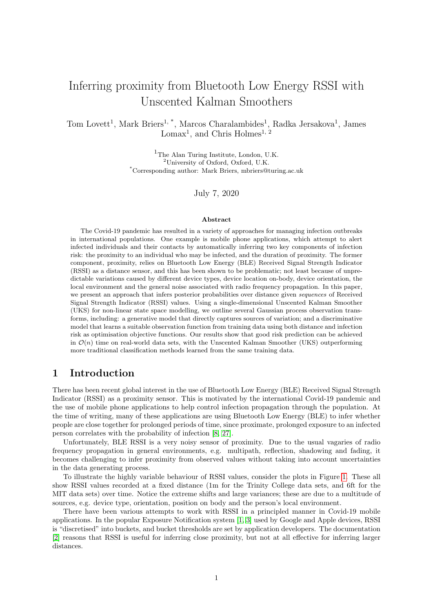<span id="page-9-0"></span>

Figure 3: Left: 1/000 samples from  $p_{Y_j|d}(Y_i \mid \Theta)$  for device shifts at  $d = 1$ m using Hamiltonian Monte Carlo (HMC) with No U-Turn Sampler (NUTS). Hyperparameters were set using anechoic chamber data for 729  $(27^2)$  device pairs. was set using UK mobile device market share data (see text). Right: 1;000 samples from  $p_{Y_i/d}(Y_i | D_1; \dots; D_K; \Theta)$  for assumed distance-invariant device position, location and environment shifts using HMC with NUTS. Hyperparameters were set using the MIT PACT data set [\[15\]](#page-15-4). was set using survey data on mobile device usage (see text).

We view each supplied shift  $k$  as a d-invariant shift in the negative Friis transmission equation  $q(d)$ . So, for  $k > g(d)$  and  $g(d) < 0$ , this produces a corresponding shift k in  $f(d)$  as follows

<span id="page-9-1"></span>
$$
k = f(g(d) \quad k) \quad f(g(d))
$$
  
= log ( g(d) + k) log ( g(d))  
= log 1 \quad  $\frac{k}{g(d)}$  ; (22)

and we see that a constant  $\kappa$  results in a  $\kappa$  that varies with d through  $q(d)$ .

We can therefore define our device type shift variable  $Y_i \nightharpoonup R$ , and assume that the supplied  $k$  is the  $\sigma$  parameter in Equation [12.](#page-5-4)  $\sigma$ ;  $\sigma$  and  $\sigma$  encode our uncertainty about Y<sub>i</sub>, and we set them to  $0 = 1$ ;  $0 = 2$  and  $0 = 1$ =10 to give small variance about 0. Samples from  $p_{Y_i/d}(Y_i \, j \, \Theta(d))$  for  $d = 1$ m are shown in Figure [3.](#page-9-0)

#### 7.3.3 Antenna gain shifts

In addition to the calibration data supplied by GSMA, an estimated gain figure (in dBm) for the calibration reference device was also supplied. We follow the approach of the previous section to convert this to  $X$  space,

<span id="page-9-2"></span>
$$
= \log 1 \quad \frac{1}{g(d)} \quad \text{(23)}
$$

and set the *d*-specific hyperparameter  $_0 = 0$ . We again choose  $_0 = 2$ ;  $_0 = 1$ =10 and  $_0 = 1$ .

#### 7.3.4 Device position, location and environment shifts

We use the model in Equation [11,](#page-5-0) with the following hyperparameter settings. We assume the environment factor is split into two: indoors and outdoors. We set the indoors' probability to  $p(E =$  $\text{indoors}$ ) = 0.869 and the outdoors' probability to the complement, which are taken from the National Human Activity Survey (NHAPS) [\[14\]](#page-15-17).

For device location, we use the data from [\[20\]](#page-16-11) and assume a mobile device is not concealed for 8 hours (sleep) plus 3:25 hours in active use plus 8 hours not in use but nearby, e.g. working; leaving 4:75 hours with the device being concealed in a pocket or bag. Thus, we set the concealed probability to  $p(L = \text{concealed}) = 4.75 = 24$ , and the not concealed probability to the complement.

For device position, we assume equal belief to all orientation angles in a 2D plane. So, for any finite K-partitioning of  $[0, 2)$  into intervals  $I_1$ ; :::;  $I_K$ , we set  $p(P \ 2 \ I_k) = |I_k|=2$ .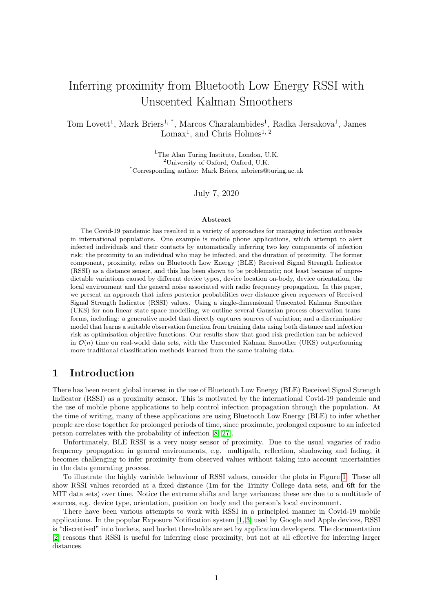With these, the  $k^{\text{th}}$  component of the Dirichlet hyperparameter becomes, for realisation  $(p; l; e)_k$ ,

$$
k = Np(e) p(l) p(e)
$$

where  $N$  is a pseudocount, which we set to 10.

For the remaining posterior predictive hyperparameters, we use the PACT datasets provided by MIT [\[15\]](#page-15-4). These contain measurements for two "real world" environment classes (1 outdoor and 3 indoor, with the 3 indoor sets merged) over two transmit location classes (3 concealed and 1 in hand, with the 3 concealed sets merged) over 8 angles of orientation. We use these data to set the parameters in Equation [13](#page-5-5) – with  $_0 = 0$ ;  $_0 = 0 = 1$ =10 and  $_0 = 2$  – as follows.

We use the reference data sets recorded over location (concealed and in-hand) and positions (8 angles) in an anechoic chamber. We assume these are observations of noisy reference RSSI, and fit a normal distribution to  $X := \log(-R)$ ,

<span id="page-10-0"></span>
$$
X_{l;p} \quad N(\hat{L}_{l;p};\hat{L}_{l,p}^{2}); \tag{24}
$$

where the parameters are the sample mean and (unbiased) variance for each of the 16 reference sets. For the 32 other data sets, we observe shift variables as follows. For a given data set  $D_{p;l;e} = x_1; \ldots; x_{N_{p;l;e}}$ , we draw

$$
\hat{X}_1: \ldots: \hat{X}_{N_{e/Lp}} \qquad \mathcal{N}(\hat{L}_{Lp}, \hat{L}_{Lp}^2);
$$

and use the observed shifts  $y_i = x_i$   $\hat{x}_i$ . These data are then used to compute the parameters for the t-distributions using Equation [13.](#page-5-5) See Figure [3](#page-9-0) for samples from the full distribution of  $Y_i$  using these posterior parameters, and the mixing weights' distribution parameters described above.

### 7.3.5 Approximating  $E[X/D]$  and  $Var(X/D)$

With the distributions of  $Y_i$  j  $D_1$ ; ::;;  $D_K$ ;  $\Theta$  and the value of  $Var(Z_j \mid z)$  set in the previous sections, we can approximate the expectation and variance of  $X$  with Equations [8](#page-4-3) and [9.](#page-4-4) For this we use use HMC with NUTS to estimate the expectations in Equations [8](#page-4-3) and [9.](#page-4-4) The resulting Gaussian process under the computed estimates is shown in Figure [2](#page-7-1) (a).

Figure [4](#page-11-1) shows the UKS with generative observation model tracking proximity from noisy simulated data using RSSI generated from devices in the MIT H0H1 data set [\[6\]](#page-15-14).

### 7.4 Test data sets

For performance evaluation, we use the MIT H0H1 data set [\[6\]](#page-15-14) and the Trinity College Dublin data sets from [\[16\]](#page-15-3).

### 7.4.1 MIT H0H1 data set

This data set consists of RSSI captures from 26 "high risk" scenarios (H1), and 19 "low risk" scenarios (H0). We define a scenario to be an interaction between a device pair, and some of the raw data files contain multiple device interactions. There are iPhone and Android devices present in the data sets.

In the H1 scenario, participants were asked to stay within 6ft of each other for 15 minutes. In the H0 scenario, they were asked to stay at least 10ft apart for 15 min. In each scenario, participants were instructed to interact with each other normally in multiple environments, including: outdoors, indoors and sat at a table. Participants were also allowed to use their mobile phones as normal throughout the study.

We do not know if participants genuinely strayed over the instructed boundaries, nor do we know if each raw data file was intended to capture a single interaction. We include all mobile phone interactions in all files regardless.

Since we have proximity and risk bounds only, we cannot measure exact inference, but we know that the models should infer proximity 6ft for H1, and 10ft for H0, and thus "high risk" and "low risk" respectively.

#### 7.4.2 Trinity College data set

This data set consists of RSSI readings in a number of settings, some of which are laboratory settings and some real-world settings. We use the real-world, or scenario settings, which consist of 14 sets of RSSI data in environments such as supermarkets, desks, public transport and walking in public. An approximate ground truth proximity is labelled for each set, though we do not know if participants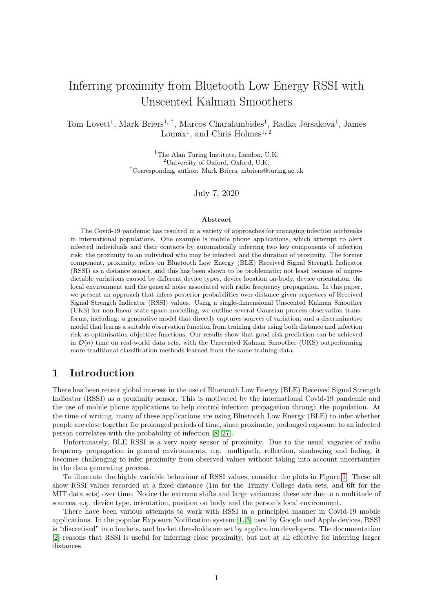<span id="page-11-1"></span>

Figure 4: The UKS with generative observation model and  $q = .09$  applied to simulated random walk data. Here, two iPhone XR devices undertake a random walk at on a circle with radius 2m for 1; 000 seconds. We fit a sampling model with iPhone XR device types known (that is, without the mixture component over device type) from the MIT H0H1 data sets [\[6\]](#page-15-14). This results in a Gaussian process with  $(d) = 0.21 \log(d) + 3.92$  and  $a = 0.33$ . RSSI samples are then generated at each time step from log-normal( $(d)$ ; <sup>2</sup>). In this example, half the observations are removed randomly to simulate imperfect sensor reliability. The topmost plot shows the RSSI data; the second plot shows the UKS with momentmatched gamma distribution 0:05 and 0:95 quantiles; the third and fourth plots show true and inferred risk coloration respectively – high risk, i.e. when within 1m of each other, is the thicker, solid red line; low risk is the thinner, dashed green line. Note the imputation of the UKS where there are missing observations.

rigidly adhered to this proximity throughout the capture. There are only Google Pixel 2 devices present in the data sets.

### <span id="page-11-0"></span>7.5 Performance results

Figure [5](#page-12-1) shows the results for the MIT H0H1 data. Each point is a single scenario, coloured/marked by description. For the risk plots, we use relative risk, i.e. inferred risk minus the true risk bound. Since we do not know the true proximities – only their bounds – we can assess performance by visualising where the models place the scenarios above or below the 0 line.

For high risk, i.e. H1, points should be placed on or above the line, with increasing error the further below the line. For H0, points should be placed on or below the line, with increasing error the further above the line. A good proximity classifier would put all points above the black line for H1, H1 and all points below the line for H0, H0. A good risk classifier would put all points in H0, H1 below the line.

The Receiver Operating Characteristic (ROC) Area Under Curve (AUC) for the approaches are: gradient boosting regressor: 0.5; UKS g.: 0.823; UKS f.p.: 0.756; UKS f.r.: 0.6; UKS l.p.: 0.538; and UKS l.r.: 0.567.

For the proximity plot, a good proximity classifier would put all points in the H1 column below the black x-y line, and all the points in the H0 column above the black x-y line. A good risk classifier would put all points in the H0 column above the red dashed line (the H1 threshold).

Figure [6](#page-13-0) shows example time series for the UKS with different models on an H1 and H0 scenario. Figure [7](#page-14-1) shows inferred risk against true risk for the Trinity College Dublin scenarios in [\[16\]](#page-15-3), the figures from which correspond to the plot legend labels in Figure [7.](#page-14-1)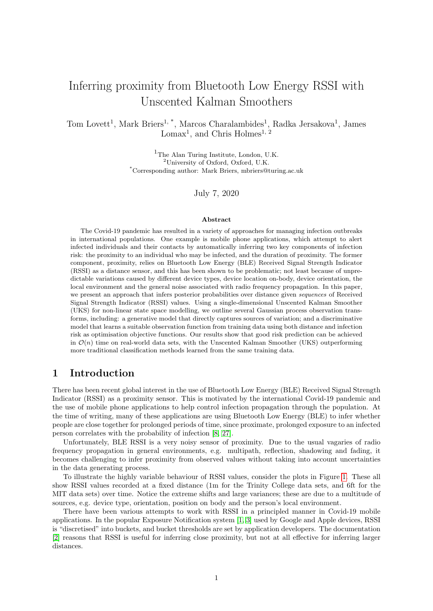<span id="page-12-1"></span>

Figure 5: Left: relative risk, i.e. inferred risk minus true risk (bound), for MIT H0H1. H1, H1 means the high-risk scenario with high-risk threshold. H0, H0 is the low-risk scenario with low-risk threshold. H0, H1 is the low-risk scenario with high-risk threshold. Right: inferred proximity against true proximity (bound) for MIT H0H1. The two columns of points (with jitter) are the true bounds for H1 and H0 respectively. The red dashed line is the H1 proximity bound. GBR is the gradient boosted regressor; UKS g. is the generative model; UKS f.r./f.p. are the discriminative models in Equation [17](#page-6-0) optimised for risk/proximity. UKS l.r./l.p. are the equivalent for Equation [18.](#page-6-1) See text for further details on plot interpretation.

# <span id="page-12-0"></span>8 Discussion

Here we discuss the implications and limitations of the results in the previous section. The key finding is that good prediction of proximity and risk can be achieved by treating RSSI sequences and using posterior inference of proximity  $D_t$  given the entire sequence of observations  $x_1$ ; :::;  $x_{\tau}$ <sup>0</sup> rather than  $x_t$ alone. By using a UKS, we can undertake this inference with nonlinear observation models; in this case Gaussian processes, which also encode uncertainty that propagates through to the posterior distribution over  $D_t$ . Given the single dimensions of both state space and observations, inference for a periodic sequence  $D_1$ ; ::;;  $D_T$  can be achieved in linear time, i.e.  $O(T)$ .

Using sequential modelling with Gaussian process data distributions outperforms simpler thresholding approaches such as the Exposure Notification API (cf. the effectively threshold-based gradient boosting AUC of 0.5 on MIT H0H1, which seems to corroborate the findings in [\[18\]](#page-15-9)).

We next we compare the performance and suitability of proximity inference vs direct risk inference, before analysing the results of the generative and discriminative approaches. Next we acknowledge the implications of making a log-normal assumption for the distribution of  $R$ , before discussing general limitations and potential areas for improvement in future work.

### 8.1 Proximity vs risk

Our chief intention is to infer posterior proximity given observed RSSI values, but there is an argument that predicting infection risk directly is more pertinent, especially given the application to the Covid-19 pandemic. The plots for the MIT H0H1 data in Figure [5](#page-12-1) and the Trinity College data in Figure [7](#page-14-1) show how the duration component of risk can make some encounters significantly more important to classify correctly. This implies that jointly inferring proximity and duration is arguably more important than proximity alone since, for example, a long duration at a farther proximity can equate to a shorter duration at closer proximity, and a classifier that seeks to predict close encounters well at the cost of incorrectly predicting farther ones may not achieve the desired effect of good overall infection risk prediction. We have not inferred duration here beyond the time duration of the scenarios in the test data, but an area for further work would be to better improve duration inference from real world RSSI observations.

### 8.2 Generative vs discriminative models

The results show that using the UKS with either a generative or discriminative model will likely outperform simple classification approaches, but there is a question as to which model is more appropriate.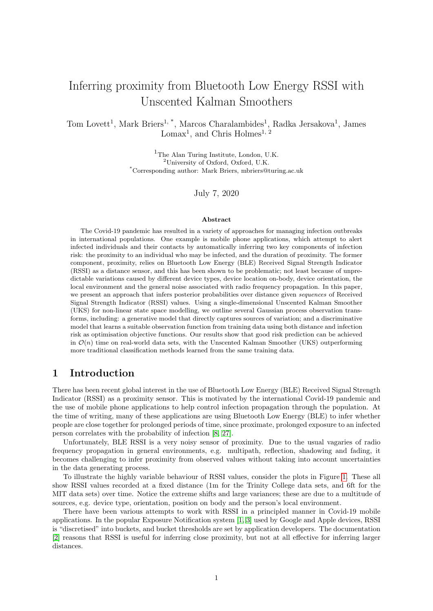<span id="page-13-0"></span>

Figure 6: Time series of observed RSSI and UKS output (mean with 0:05 and 0:95 quantiles of a momentmatched gamma distribution) on one H1 example and one H0 example from MIT H0H1. Top row: H1 (high risk scenario); bottom row: H0 (low risk scenario); first column: UKS with generative model; second column: UKS with discriminative model (Equation [17\)](#page-6-0); third column: UKS with discriminative model (Equation [18\)](#page-6-1). The red horizontal line is the H1 threshold 6ft, and the green horizontal line is the H0 threshold.

The generative model is the best performing approach for the MIT H0H1 data (Figure [5\)](#page-12-1), but the discriminative models outperform the generative model in the Trinity College data (Figure [7\)](#page-14-1). There is an argument that the generative model is more general, since the discriminative models are limited by the training data, but the hyperparameters of the generative model are also computed from example data. There is arguably more flexibility to the generative model, since arbitrary numbers of shift variables  $Y_i$ can be added, but there is no strong evidence in our results to recommend choosing one over the other.

The question of which discriminative model to use is also not answered definitively, but the results in Figures [5](#page-12-1) and [7](#page-14-1) show marginally better performance using the form of Equation [17](#page-6-0) over Equation [18.](#page-6-1) There are also limitations introduced by the search restrictions of Bayesian optimisation, and there may be better parameters for these models that were not found in the optimisation process.

It is perhaps unsurprising that the scenarios with the greatest error are where the mobile device is in the pocket with the individual sitting (Figure [5;](#page-12-1) false negatives), and where the device is in the hand (Figure [5;](#page-12-1) false positives).

### 8.3 Log-normal R vs Gaussian R

The main results in the paper assume that  $R$  is a log-normal random variable, but there is a valid argument that  $R$  should be normally distributed, e.g. in the log-distance path loss model for radio propagation. Our justification for using the log-normal distribution was based on empirical evidence of a long tail in observed real-world RSSI values, plus the assumption that transmission power should be at most 0dBm for BLE in mobile devices.

We have replicated all results using a normally distributed R, i.e.  $X := R$ , and these can be seen in Appendix [C.](#page-17-0) There is a small difference in performance, with the log-normal model performing slightly better in general on the test data sets. The notable exception is the generative model on the Trinity College data (Figure [7](#page-14-1) vs Figure [13\)](#page-20-0), but the average performance of the log-normal appears to be slightly better. We conjecture that this is due to the resilience against RSSI fluctuations due to the long tail of the log-normal data distribution (compare the steadiness of the inferred proximity in Figures [6](#page-13-0) and [12\)](#page-20-1).

### 8.4 Limitations and potential improvements

Since we have not attempted to infer duration here, an obvious next step would be to focus on this; perhaps by attempting to partition RSSI data into sessions. We have also not considered other machine learning classifiers beyond a gradient boosting regressor, and it is entirely possible that a well-trained neural network could perform well, though we argue that much of the performance stems from the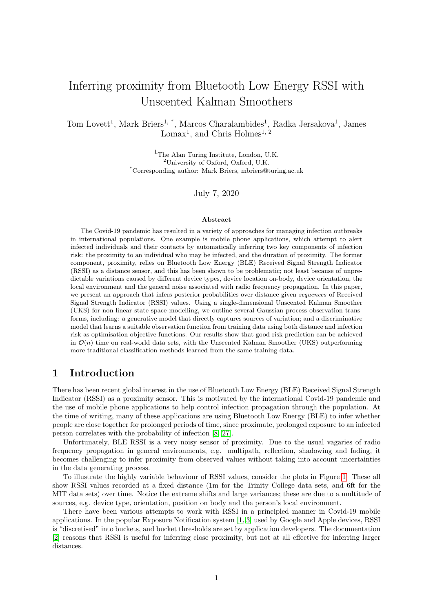<span id="page-14-1"></span>

Figure 7: Trinity College data, with inferred risk against true risk. The top row shows the results for raw RSSI data. The bottom row shows the results when the RSSI are corrected with the knowledge of mobile device types (Google Pixel 2). GBR is the gradient boosted regressor; UKS g. is the generative model; UKS f.r./f.p. are the discriminative models in Equation [17](#page-6-0) optimised for risk/proximity. UKS l.r./l.p. are the equivalent for Equation [18.](#page-6-1) The plot legend refers to figures in [\[16\]](#page-15-3). The n.c. and c. refer to "not corrected" and "corrected" respectively.

sequential modelling, and a sequential neural network may be a better choice. (These approaches are of course limited by access to good quality training data.) The other advantage of the UKS is uncertainty quantification, since we have posterior probability distributions over  $D_t$  and can report our confidence in the inference given the many sources of uncertainty in the data and underlying dynamics.

Other potential improvements could include: acquiring more, high quality training data for the models; exploring more complex UKS approaches, though it may be prudent to keep state space dimensions low since inference is naïvely  $O(T\sigma^3)$ ; optimising discriminative model parameters using approaches other than Bayesian optimisation; exploring data distribution forms other than log-normal (and Gaussian), e.g. the compound k distribution; and analysing performance as RSSI quality deteriorates, either due to noise or by intention for conservation of power.

The inference of proximity from BLE RSSI is a difficult problem, and more learning and validation data sets captured in varied scenarios (including from simulations) can only benefit any modelling approach.

# 9 Conclusion

In this paper, we presented a novel approach to inferring proximity from BLE RSSI using a UKS with Gaussian process data distribution. This is especially relevant to mobile phone applications designed to tackle the Covid-19 pandemic, which rely on good inference of infection risk; itself a function of proximity. We outlined two approaches to characterising the data distribution: a generative model, which directly computes sources of variability in observations; and a discriminative model, which optimises model parameters on example training data. There is no strong evidence to choose the generative approach over the discriminative one (or vice versa). Risk and proximity inference performance on two real-world data sets – MIT H0H1 and Trinity College Dublin – show that the UKS outperforms a more traditional gradient boosted regressor model. Our work to date offers an insight into well established mechanisms for probabilistic modelling of one of the key latent factors, that of proximity. We recognise that this needs to be considered in the wider context of health policy, ethical and other technical considerations, when responsibly deploying novel technology of this kind.

# References

<span id="page-14-0"></span>[1] Apple API for Exposure Notification. [https://developer.apple.com/documentation/](https://developer.apple.com/documentation/exposurenotification)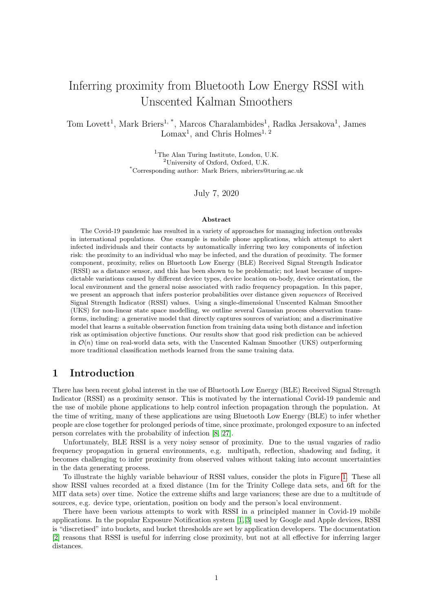exposurenoti fication. Accessed: 2020-07-01.

- <span id="page-15-2"></span>[2] BLE Exposure Notifications Attenuations. [https://developers.google.com/android/](https://developers.google.com/android/exposure-notifications/ble-attenuation-overview) [exposure-notifications/ble-attenuation-overview](https://developers.google.com/android/exposure-notifications/ble-attenuation-overview). Accessed: 2020-07-01.
- <span id="page-15-1"></span>[3] Google API for Exposure Notification. [https://developers.google.com/android/](https://developers.google.com/android/exposure-notifications/exposure-notifications-api) [exposure-notifications/exposure-notifications-api](https://developers.google.com/android/exposure-notifications/exposure-notifications-api). Accessed: 2020-07-01.
- <span id="page-15-7"></span>[4] M. Briers, M. Charalambides, and C. Holmes. Risk scoring calculation for the current NHSx contact tracing app, 2020.
- <span id="page-15-13"></span>[5] M. Briers, A. Doucet, and S. Maskell. Smoothing algorithms for state–space models. Annals of the Institute of Statistical Mathematics, 62(1):61, 2010.
- <span id="page-15-14"></span>[6] C. Corey. MIT H0H1. <https://github.com/mitll/H0H1>. Accessed: 2020-07-01.
- <span id="page-15-15"></span>[7] C. Corey. MIT Matrix Data. <https://github.com/mitll/MIT-Matrix-Data>. Accessed: 2020-07- 01.
- <span id="page-15-0"></span>[8] L. Ferretti, C. Wymant, M. Kendall, L. Zhao, A. Nurtay, L. Abeler-Dörner, M. Parker, D. Bonsall, and C. Fraser. Quantifying SARS-CoV-2 transmission suggests epidemic control with digital contact tracing. Science, 368(6491), 2020.
- <span id="page-15-12"></span>[9] J.-M. Gorce, M. Egan, and R. Gribonval. An efficient algorithm to estimate Covid-19 infectiousness risk from BLE-RSSI measurements. Research Report RR-9345, Inria Grenoble Rhône-Alpes, May 2020.
- <span id="page-15-11"></span>[10] M. G. Jadidi, M. Patel, and J. V. Miro. Gaussian processes online observation classification for RSSIbased low-cost indoor positioning systems. In 2017 IEEE International Conference on Robotics and Automation (ICRA), pages 6269–6275. IEEE, 2017.
- <span id="page-15-5"></span>[11] S. J. Julier and J. K. Uhlmann. New extension of the Kalman filter to nonlinear systems. In Signal Processing, Sensor Fusion, and Target Recognition VI, volume 3068, pages 182–193. International Society for Optics and Photonics, 1997.
- <span id="page-15-6"></span>[12] S. J. Julier, J. K. Uhlmann, and H. F. Durrant-Whyte. A new approach for filtering nonlinear systems. In Proceedings of 1995 American Control Conference-ACC'95, volume 3, pages 1628–1632. IEEE, 1995.
- <span id="page-15-16"></span>[13] G. Ke, Q. Meng, T. Finley, T. Wang, W. Chen, W. Ma, Q. Ye, and T.-Y. Liu. LightGBM: A Highly Efficient Gradient Boosting Decision Tree. In I. Guyon, U. V. Luxburg, S. Bengio, H. Wallach, R. Fergus, S. Vishwanathan, and R. Garnett, editors, Advances in Neural Information Processing Systems 30, pages 3146–3154. Curran Associates, Inc., 2017.
- <span id="page-15-17"></span>[14] N. E. Klepeis, W. C. Nelson, W. R. Ott, J. P. Robinson, A. M. Tsang, P. Switzer, J. V. Behar, S. C. Hern, and W. H. Engelmann. The National Human Activity Pattern Survey (NHAPS): a resource for assessing exposure to environmental pollutants. Journal of Exposure Science & Environmental Epidemiology, 11(3):231–252, 2001.
- <span id="page-15-4"></span>[15] M. Krangle. BLE RSSI Various Static Configurations. [https://github.com/mitll/](https://github.com/mitll/BLE-RSSI-Various-Static-Configurations) [BLE-RSSI-Various-Static-Configurations](https://github.com/mitll/BLE-RSSI-Various-Static-Configurations). Accessed: 2020-07-01.
- <span id="page-15-3"></span>[16] D. J. Leith and S. Farrell. Coronavirus Contact Tracing: Evaluating The Potential Of Using Bluetooth Received Signal Strength For Proximity Detection. 2020.
- <span id="page-15-8"></span>[17] D. J. Leith and S. Farrell. Measurement-Based Evaluation Of Google/Apple Exposure Notification API For Proximity Detection in a Commuter Bus. *arXiv preprint arXiv:2006.08543*, 2020.
- <span id="page-15-9"></span>[18] D. J. Leith and S. Farrell. Measurement-Based Evaluation Of Google/Apple Exposure Notification API For Proximity Detection In A Light-Rail Tram. SCSS Tech Report 26th June 2020, 2020.
- <span id="page-15-10"></span>[19] S. Liu, Y. Jiang, and A. Striegel. Face-to-face proximity estimationusing Bluetooth on smartphones. IEEE Transactions on Mobile Computing, 13(4):811–823, 2013.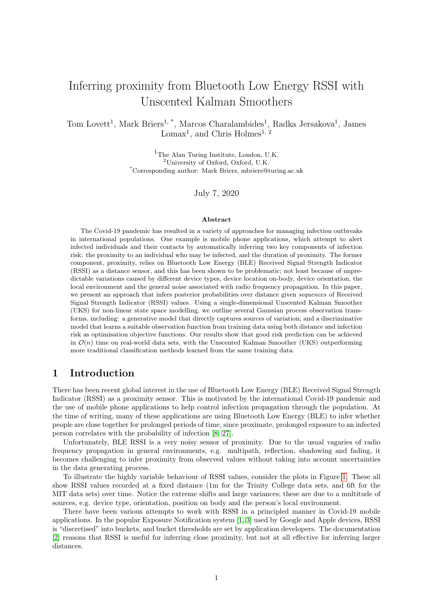- <span id="page-16-11"></span>[20] J. MacKay. Screen Time Stats 2019. <https://blog.rescuetime.com/screen-time-stats-2018/>. Accessed: 2020-07-01.
- <span id="page-16-2"></span>[21] A. Montanari, S. Nawaz, C. Mascolo, and K. Sailer. A study of Bluetooth Low Energy performance for human proximity detection in the workplace. In 2017 IEEE International Conference on Pervasive Computing and Communications (PerCom), pages 90–99. IEEE, 2017.
- <span id="page-16-1"></span>[22] J. Morley, J. Cowls, M. Taddeo, and L. Floridi. Ethical guidelines for covid-19 tracing apps, 2020.
- <span id="page-16-9"></span>[23] F. Nogueira. Bayesian Optimization: Open source constrained global optimization tool for Python. <https://github.com/fmfn/BayesianOptimization>, 2014–.
- <span id="page-16-10"></span>[24] S. O'Dea. Market share of smartphone manufacturers in the UK, 2019. [https://www.statista.](https://www.statista.com/statistics/387227/market-share-of-smartphone-manufacturers-in-the-uk/) [com/statistics/387227/market-share-of-smartphone-manufacturers-in-the-uk/](https://www.statista.com/statistics/387227/market-share-of-smartphone-manufacturers-in-the-uk/). Accessed: 2020-07-01.
- <span id="page-16-3"></span>[25] J. Rodas, C. J. Escudero, and D. I. Iglesia. Bayesian filtering for a Bluetooth positioning system. In 2008 IEEE International Symposium on Wireless Communication Systems, pages 618–622. IEEE, 2008.
- <span id="page-16-8"></span>[26] J. Snoek, H. Larochelle, and R. P. Adams. Practical Bayesian optimization of machine learning algorithms. In Advances in Neural Information Processing Systems, pages 2951–2959, 2012.
- <span id="page-16-0"></span>[27] C. Sohrabi, Z. Alsafi, N. O'Neill, M. Khan, A. Kerwan, A. Al-Jabir, C. Iosifidis, and R. Agha. World Health Organization declares global emergency: A review of the 2019 novel coronavirus (COVID-19). International Journal of Surgery, 2020.
- <span id="page-16-4"></span>[28] F. Subhan, H. Hasbullah, and K. Ashraf. Kalman filter-based hybrid indoor position estimation technique in Bluetooth networks. International Journal of Navigation and Observation, 2013, 2013.
- <span id="page-16-7"></span>[29] E. A. Wan and R. Van Der Merwe. The unscented Kalman filter for nonlinear estimation. In Proceedings of the IEEE 2000 Adaptive Systems for Signal Processing, Communications, and Control Symposium (Cat. No. 00EX373), pages 153–158. IEEE, 2000.
- <span id="page-16-5"></span>[30] P. K. Yoon, S. Zihajehzadeh, B. Kang, and E. J. Park. Adaptive Kalman filter for indoor localization using Bluetooth Low Energy and inertial measurement unit. In 2015 37th Annual International Conference of the IEEE Engineering in Medicine and Biology Society (EMBC), pages 825–828, 2015.
- <span id="page-16-6"></span>[31] C. Zhou, J. Yuan, H. Liu, and J. Qiu. Bluetooth indoor positioning based on RSSI and Kalman filter. Wireless Personal Communications, 96(3):4115–4130, 2017.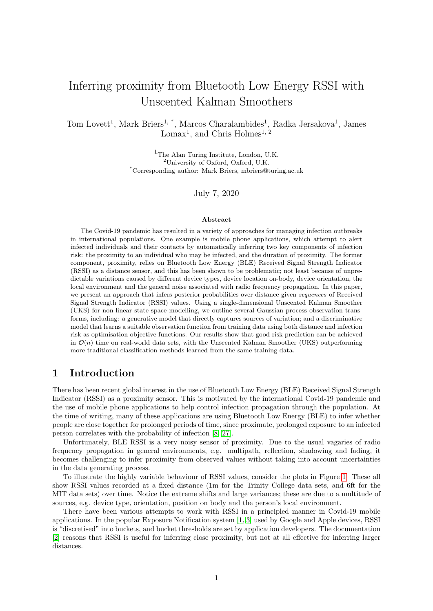

Figure 8: Gaussian process data distributions for the various models. The exception is (b), which shows the gradient boosted regressor prediction of distance from RSSI (note: the axes are reversed to align with the other plots, so d is a function of  $X$  here). The confidence intervals mark the 0.05 and 0.95 quantiles of the Gaussian distributions. The generative model shows X computed with  $E[X \mid D]$  and Var $(X \mid D)$ at a finite set of d values. Interpolation is provided by standard Bayesian ridge regression on  $\log(d)$ . For the discriminative models, "prox." means proximity optimised using Equation [19](#page-6-2) and "risk" means risk optimised using Equation [21.](#page-7-0)

# A Results using a Gaussian distribution on R directly

There is some debate about a suitable distribution for  $X$ . In the paper, we assumed a log-normal distribution on raw RSSI R and used a log transform to define the normally distributed  $X := \log(-R)$ . This was motivated by asymmetric forms observed in empirical data, with long tails going to  $\frac{1}{2}$  and  $\frac{1}{2}$ under the assumption of at most a 0dBm transmission power – support on  $(1/0)$ .

In this supplement, we replicate all the results in the paper under a direct Gaussian model on R, i.e., we define  $X := R$ . This shows that the log-normal model is more robust to noise, but that performance on the test data sets is comparable.

# B Data distribution form

The base function  $f$  in Equation [7](#page-4-5) is now equivalent to Equation [6,](#page-4-2) i.e.

$$
f(d)=g(d):
$$

# <span id="page-17-0"></span>C Model configurations and performance results

In this section, we present the model configurations and results under the direct Gaussian observation model.

### C.1 Discriminative model configuration

For these results, we use 100 rounds of Bayesian optimisation over the full UKS from 10 initialisation points using a Matérn kernel for the Gaussian process with  $= 5-2$  and a small perturbation on the observed points  $(1$  $10<sup>6</sup>$ ). For the model in Equation [17,](#page-6-0) we used the following search ranges:  $_1$  2 [1:; 1:]; 2 [ 100; 10];  $_r$  2 [0:300] and  $q$  2 [0:01:0:05]. For the model in Equation [18,](#page-6-1) we used:  $\frac{1}{1}$  2 [ 20; 1];  $\frac{1}{2}$  2 [ 100; 10];  $\frac{1}{2}$  2 [0:300] and  $q$  2 [0:01:0:05] For the optimisation process, we used the library in [\[23\]](#page-16-9).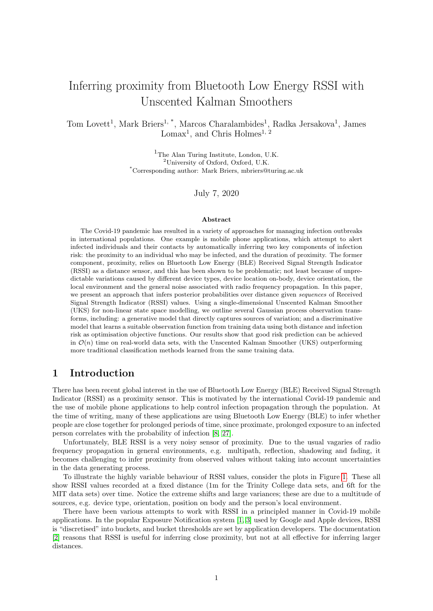

Figure 9: Left: 1,000 samples from  $p_{Y_i,jd}(Y_i \mid \Theta)$  for device shifts at  $d = 1$ m using HMC with NUTS. Hyperparameters were set using anechoic chamber data for 729 (27<sup>2</sup> ) device pairs. was set using UK mobile device market share data (see text). Right: 1/000 samples from  $p_{Y_j/d}(Y_j|D_1;\ldots;D_K;\Theta)$ for assumed distance-invariant device position, location and environment shifts using HMC with NUTS. Hyperparameters were set using the MIT PACT data set [\[15\]](#page-15-4). was set using survey data on mobile device usage (see text).

### C.2 Generative model configuration

The  $\kappa$  shifts in Equations [22](#page-9-1) and [23](#page-9-2) simply map directly to negative  $\kappa$ , i.e.

 $k = k$ :

The normal distribution in Equation [24](#page-10-0) is fit to  $X := R$  rather than  $X := \log(R)$ . The variance in Equation [15](#page-5-2) is set to 10dB, i.e.  $= 10$ ;  $= 2$ .

### C.3 Performance results

The ROC AUC for the approaches are: gradient boosting regressor: 0.5; UKS g.: 0.728; UKS f.p.: 0.662; UKS f.r.: 0.728; UKS l.p.: 0.769; and UKS l.r.: 0.6. Figures [10-](#page-19-0)[13](#page-20-0) show the Figures from the main paper when using the Gaussian model.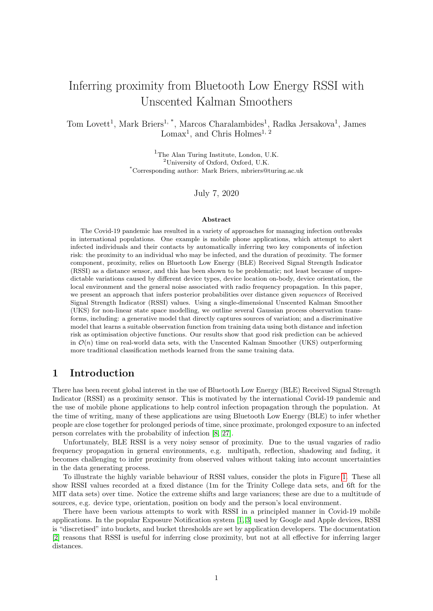<span id="page-19-0"></span>

Figure 10: The UKS with generative observation model and  $q = .09$  applied to simulated random walk data. Here, two iPhone XR devices undertake a random walk on a circle with radius 2m for 1; 000 seconds. We fit a sampling model with iPhone XR device types known (that is, without the mixture component over device type) from the MIT H0H1 data sets [\[6\]](#page-15-14). This results in a Gaussian process with  $(d) = 8.69 \log(d)$  69.9 and <sup>2</sup> = 184.91. RSSI samples are then generated at each time step from  $N$ ( $(d)$ ; <sup>2</sup>). In this example, half the observations are removed randomly to simulate imperfect sensor reliability. The topmost plot shows the RSSI data; the second plot shows the UKS with momentmatched gamma distribution 0:05 and 0:95 quantiles; the third and fourth plots show true and inferred risk respectively – high risk, i.e. when within 1m of each other, is the thicker, solid red line; low risk is the thinner, dashed green line. Note the imputation of the UKS where there are missing observations.



Figure 11: Left: relative risk, i.e. inferred risk minus true risk (bound), for MIT H0H1. H1, H1 means the high-risk scenario with high-risk threshold. H0, H0 is the low-risk scenario with low-risk threshold. H0, H1 is the low-risk scenario with high-risk threshold. Right: inferred proximity against true proximity (bound) for MIT H0H1. The two columns of points (with jitter) are the true bounds for H1 and H0 respectively. The red dashed line is the H1 proximity bound. GBR is the gradient boosted regressor; UKS g. is the generative model; UKS f.r./f.p. are the discriminative models in Equation [17](#page-6-0) optimised for risk/proximity. UKS l.r./l.p. are the equivalent for Equation [18.](#page-6-1) See text for further details on plot interpretation.